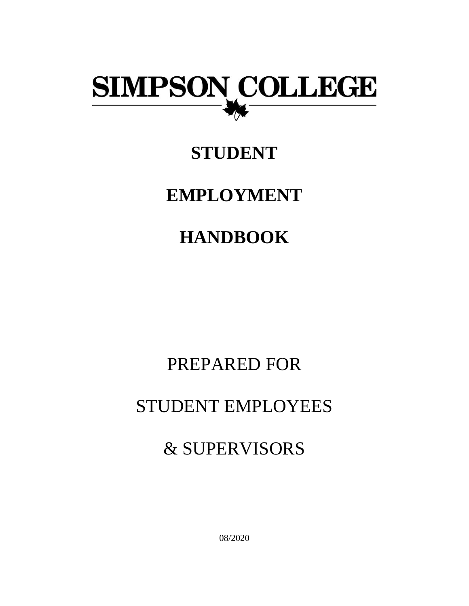

## **STUDENT**

## **EMPLOYMENT**

# **HANDBOOK**

## PREPARED FOR

## STUDENT EMPLOYEES

## & SUPERVISORS

08/2020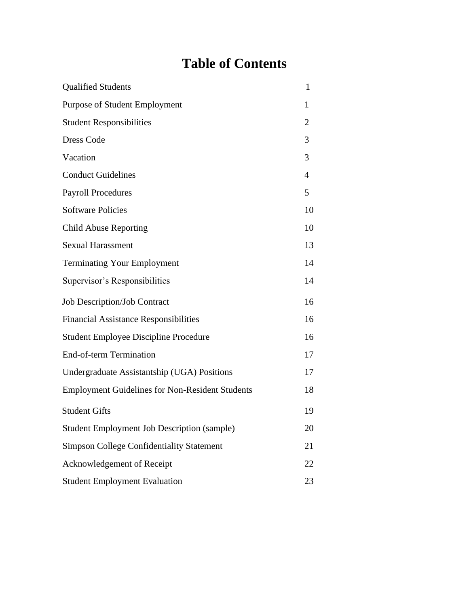## **Table of Contents**

| <b>Qualified Students</b>                              | 1              |
|--------------------------------------------------------|----------------|
| Purpose of Student Employment                          | 1              |
| <b>Student Responsibilities</b>                        | 2              |
| <b>Dress Code</b>                                      | 3              |
| Vacation                                               | 3              |
| <b>Conduct Guidelines</b>                              | $\overline{4}$ |
| <b>Payroll Procedures</b>                              | 5              |
| <b>Software Policies</b>                               | 10             |
| <b>Child Abuse Reporting</b>                           | 10             |
| <b>Sexual Harassment</b>                               | 13             |
| <b>Terminating Your Employment</b>                     | 14             |
| Supervisor's Responsibilities                          | 14             |
| <b>Job Description/Job Contract</b>                    | 16             |
| <b>Financial Assistance Responsibilities</b>           | 16             |
| <b>Student Employee Discipline Procedure</b>           | 16             |
| <b>End-of-term Termination</b>                         | 17             |
| Undergraduate Assistantship (UGA) Positions            | 17             |
| <b>Employment Guidelines for Non-Resident Students</b> | 18             |
| <b>Student Gifts</b>                                   | 19             |
| <b>Student Employment Job Description (sample)</b>     | 20             |
| Simpson College Confidentiality Statement              | 21             |
| Acknowledgement of Receipt                             | 22             |
| <b>Student Employment Evaluation</b>                   | 23             |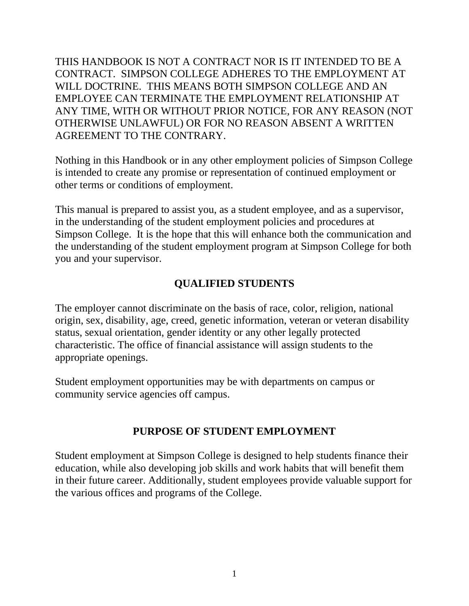THIS HANDBOOK IS NOT A CONTRACT NOR IS IT INTENDED TO BE A CONTRACT. SIMPSON COLLEGE ADHERES TO THE EMPLOYMENT AT WILL DOCTRINE. THIS MEANS BOTH SIMPSON COLLEGE AND AN EMPLOYEE CAN TERMINATE THE EMPLOYMENT RELATIONSHIP AT ANY TIME, WITH OR WITHOUT PRIOR NOTICE, FOR ANY REASON (NOT OTHERWISE UNLAWFUL) OR FOR NO REASON ABSENT A WRITTEN AGREEMENT TO THE CONTRARY.

Nothing in this Handbook or in any other employment policies of Simpson College is intended to create any promise or representation of continued employment or other terms or conditions of employment.

This manual is prepared to assist you, as a student employee, and as a supervisor, in the understanding of the student employment policies and procedures at Simpson College. It is the hope that this will enhance both the communication and the understanding of the student employment program at Simpson College for both you and your supervisor.

### **QUALIFIED STUDENTS**

The employer cannot discriminate on the basis of race, color, religion, national origin, sex, disability, age, creed, genetic information, veteran or veteran disability status, sexual orientation, gender identity or any other legally protected characteristic. The office of financial assistance will assign students to the appropriate openings.

Student employment opportunities may be with departments on campus or community service agencies off campus.

#### **PURPOSE OF STUDENT EMPLOYMENT**

Student employment at Simpson College is designed to help students finance their education, while also developing job skills and work habits that will benefit them in their future career. Additionally, student employees provide valuable support for the various offices and programs of the College.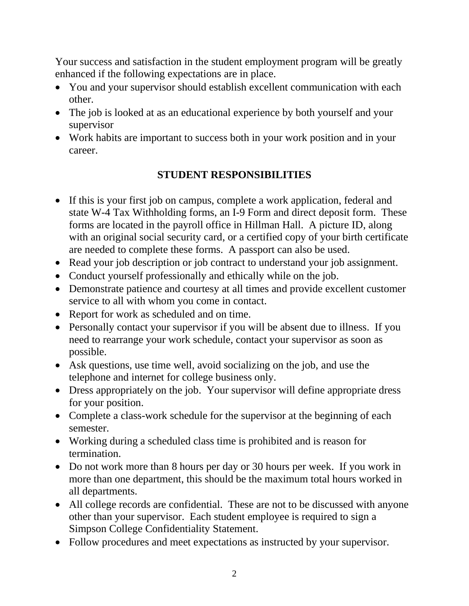Your success and satisfaction in the student employment program will be greatly enhanced if the following expectations are in place.

- You and your supervisor should establish excellent communication with each other.
- The job is looked at as an educational experience by both yourself and your supervisor
- Work habits are important to success both in your work position and in your career.

## **STUDENT RESPONSIBILITIES**

- If this is your first job on campus, complete a work application, federal and state W-4 Tax Withholding forms, an I-9 Form and direct deposit form. These forms are located in the payroll office in Hillman Hall. A picture ID, along with an original social security card, or a certified copy of your birth certificate are needed to complete these forms. A passport can also be used.
- Read your job description or job contract to understand your job assignment.
- Conduct yourself professionally and ethically while on the job.
- Demonstrate patience and courtesy at all times and provide excellent customer service to all with whom you come in contact.
- Report for work as scheduled and on time.
- Personally contact your supervisor if you will be absent due to illness. If you need to rearrange your work schedule, contact your supervisor as soon as possible.
- Ask questions, use time well, avoid socializing on the job, and use the telephone and internet for college business only.
- Dress appropriately on the job. Your supervisor will define appropriate dress for your position.
- Complete a class-work schedule for the supervisor at the beginning of each semester.
- Working during a scheduled class time is prohibited and is reason for termination.
- Do not work more than 8 hours per day or 30 hours per week. If you work in more than one department, this should be the maximum total hours worked in all departments.
- All college records are confidential. These are not to be discussed with anyone other than your supervisor. Each student employee is required to sign a Simpson College Confidentiality Statement.
- Follow procedures and meet expectations as instructed by your supervisor.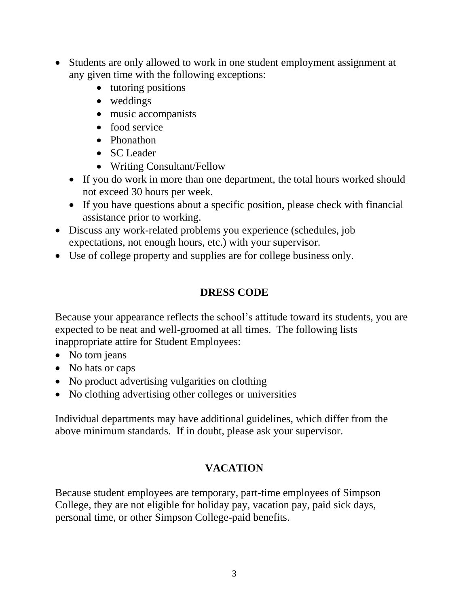- Students are only allowed to work in one student employment assignment at any given time with the following exceptions:
	- tutoring positions
	- weddings
	- music accompanists
	- food service
	- Phonathon
	- SC Leader
	- Writing Consultant/Fellow
	- If you do work in more than one department, the total hours worked should not exceed 30 hours per week.
	- If you have questions about a specific position, please check with financial assistance prior to working.
- Discuss any work-related problems you experience (schedules, job expectations, not enough hours, etc.) with your supervisor.
- Use of college property and supplies are for college business only.

## **DRESS CODE**

Because your appearance reflects the school's attitude toward its students, you are expected to be neat and well-groomed at all times. The following lists inappropriate attire for Student Employees:

- No torn jeans
- No hats or caps
- No product advertising vulgarities on clothing
- No clothing advertising other colleges or universities

Individual departments may have additional guidelines, which differ from the above minimum standards. If in doubt, please ask your supervisor.

## **VACATION**

Because student employees are temporary, part-time employees of Simpson College, they are not eligible for holiday pay, vacation pay, paid sick days, personal time, or other Simpson College-paid benefits.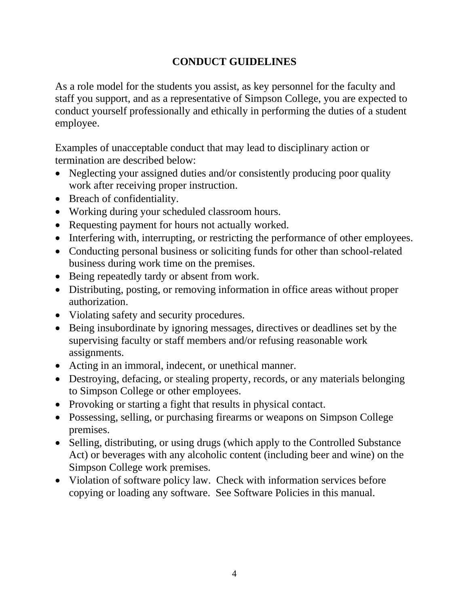## **CONDUCT GUIDELINES**

As a role model for the students you assist, as key personnel for the faculty and staff you support, and as a representative of Simpson College, you are expected to conduct yourself professionally and ethically in performing the duties of a student employee.

Examples of unacceptable conduct that may lead to disciplinary action or termination are described below:

- Neglecting your assigned duties and/or consistently producing poor quality work after receiving proper instruction.
- Breach of confidentiality.
- Working during your scheduled classroom hours.
- Requesting payment for hours not actually worked.
- Interfering with, interrupting, or restricting the performance of other employees.
- Conducting personal business or soliciting funds for other than school-related business during work time on the premises.
- Being repeatedly tardy or absent from work.
- Distributing, posting, or removing information in office areas without proper authorization.
- Violating safety and security procedures.
- Being insubordinate by ignoring messages, directives or deadlines set by the supervising faculty or staff members and/or refusing reasonable work assignments.
- Acting in an immoral, indecent, or unethical manner.
- Destroying, defacing, or stealing property, records, or any materials belonging to Simpson College or other employees.
- Provoking or starting a fight that results in physical contact.
- Possessing, selling, or purchasing firearms or weapons on Simpson College premises.
- Selling, distributing, or using drugs (which apply to the Controlled Substance Act) or beverages with any alcoholic content (including beer and wine) on the Simpson College work premises.
- Violation of software policy law. Check with information services before copying or loading any software. See Software Policies in this manual.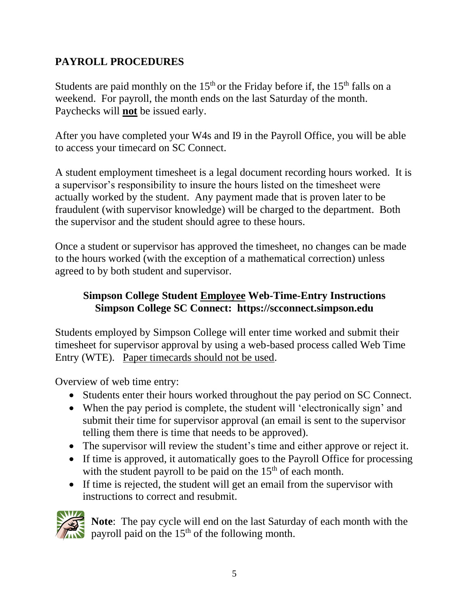## **PAYROLL PROCEDURES**

Students are paid monthly on the  $15<sup>th</sup>$  or the Friday before if, the  $15<sup>th</sup>$  falls on a weekend. For payroll, the month ends on the last Saturday of the month. Paychecks will **not** be issued early.

After you have completed your W4s and I9 in the Payroll Office, you will be able to access your timecard on SC Connect.

A student employment timesheet is a legal document recording hours worked. It is a supervisor's responsibility to insure the hours listed on the timesheet were actually worked by the student. Any payment made that is proven later to be fraudulent (with supervisor knowledge) will be charged to the department. Both the supervisor and the student should agree to these hours.

Once a student or supervisor has approved the timesheet, no changes can be made to the hours worked (with the exception of a mathematical correction) unless agreed to by both student and supervisor.

## **Simpson College Student Employee Web-Time-Entry Instructions Simpson College SC Connect: https://scconnect.simpson.edu**

Students employed by Simpson College will enter time worked and submit their timesheet for supervisor approval by using a web-based process called Web Time Entry (WTE). Paper timecards should not be used.

Overview of web time entry:

- Students enter their hours worked throughout the pay period on SC Connect.
- When the pay period is complete, the student will 'electronically sign' and submit their time for supervisor approval (an email is sent to the supervisor telling them there is time that needs to be approved).
- The supervisor will review the student's time and either approve or reject it.
- If time is approved, it automatically goes to the Payroll Office for processing with the student payroll to be paid on the  $15<sup>th</sup>$  of each month.
- If time is rejected, the student will get an email from the supervisor with instructions to correct and resubmit.



**Note**: The pay cycle will end on the last Saturday of each month with the payroll paid on the  $15<sup>th</sup>$  of the following month.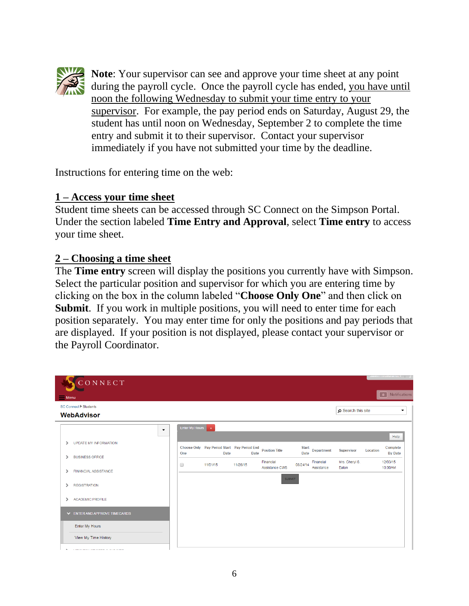

**Note**: Your supervisor can see and approve your time sheet at any point during the payroll cycle. Once the payroll cycle has ended, you have until noon the following Wednesday to submit your time entry to your supervisor. For example, the pay period ends on Saturday, August 29, the student has until noon on Wednesday, September 2 to complete the time entry and submit it to their supervisor. Contact your supervisor immediately if you have not submitted your time by the deadline.

Instructions for entering time on the web:

#### **1 – Access your time sheet**

Student time sheets can be accessed through SC Connect on the Simpson Portal. Under the section labeled **Time Entry and Approval**, select **Time entry** to access your time sheet.

#### **2 – Choosing a time sheet**

The **Time entry** screen will display the positions you currently have with Simpson. Select the particular position and supervisor for which you are entering time by clicking on the box in the column labeled "**Choose Only One**" and then click on **Submit**. If you work in multiple positions, you will need to enter time for each position separately. You may enter time for only the positions and pay periods that are displayed. If your position is not displayed, please contact your supervisor or the Payroll Coordinator.

| CONNECT                                                                     |                  |                                                            |             |                             |                             |                         |                         |          | $\frac{1}{2}$              |
|-----------------------------------------------------------------------------|------------------|------------------------------------------------------------|-------------|-----------------------------|-----------------------------|-------------------------|-------------------------|----------|----------------------------|
| $M$ enu                                                                     |                  |                                                            |             |                             |                             |                         |                         |          | Notifications<br>$\vert$ 0 |
| SC Connect▶ Students<br><b>WebAdvisor</b>                                   |                  |                                                            |             |                             |                             |                         | o Search this site      |          | ٠                          |
| $\blacktriangledown$                                                        | Enter My Hours x |                                                            |             |                             |                             |                         |                         |          | Help                       |
| <b>UPDATE MY INFORMATION</b><br>$\rightarrow$                               | One              | Choose Only Pay Period Start Pay Period End<br><b>Date</b> | <b>Date</b> | <b>Position Title</b>       | <b>Start</b><br><b>Date</b> | <b>Department</b>       | <b>Supervisor</b>       | Location | Complete<br><b>By Date</b> |
| <b>BUSINESS OFFICE</b><br>$\mathcal{P}$<br><b>FINANCIAL ASSISTANCE</b><br>↘ | 0                | 11/01/15                                                   | 11/28/15    | Financial<br>Assistance CWS | 08/24/14                    | Financial<br>Assistance | Mrs. Cheryl S.<br>Eaton |          | 12/03/15<br>10:00AM        |
| <b>REGISTRATION</b><br>↘                                                    |                  |                                                            |             | <b>SUBMIT</b>               |                             |                         |                         |          |                            |
| <b>ACADEMIC PROFILE</b>                                                     |                  |                                                            |             |                             |                             |                         |                         |          |                            |
| V ENTER AND APPROVE TIMECARDS                                               |                  |                                                            |             |                             |                             |                         |                         |          |                            |
| Enter My Hours                                                              |                  |                                                            |             |                             |                             |                         |                         |          |                            |
| View My Time History                                                        |                  |                                                            |             |                             |                             |                         |                         |          |                            |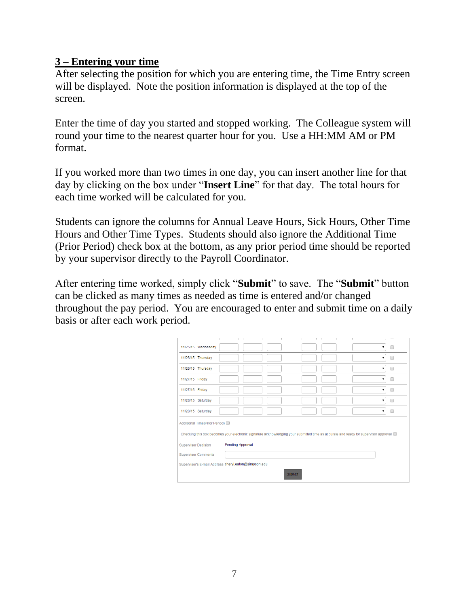#### **3 – Entering your time**

After selecting the position for which you are entering time, the Time Entry screen will be displayed. Note the position information is displayed at the top of the screen.

Enter the time of day you started and stopped working. The Colleague system will round your time to the nearest quarter hour for you. Use a HH:MM AM or PM format.

If you worked more than two times in one day, you can insert another line for that day by clicking on the box under "**Insert Line**" for that day. The total hours for each time worked will be calculated for you.

Students can ignore the columns for Annual Leave Hours, Sick Hours, Other Time Hours and Other Time Types. Students should also ignore the Additional Time (Prior Period) check box at the bottom, as any prior period time should be reported by your supervisor directly to the Payroll Coordinator.

After entering time worked, simply click "**Submit**" to save. The "**Submit**" button can be clicked as many times as needed as time is entered and/or changed throughout the pay period. You are encouraged to enter and submit time on a daily basis or after each work period.

| 11/25/15 Wednesday                                                                                                                    |                         |  |  |  | 7 |   |
|---------------------------------------------------------------------------------------------------------------------------------------|-------------------------|--|--|--|---|---|
| 11/26/15 Thursday                                                                                                                     |                         |  |  |  | 7 |   |
| 11/26/15 Thursday                                                                                                                     |                         |  |  |  | ۷ |   |
| 11/27/15 Friday                                                                                                                       |                         |  |  |  |   |   |
| 11/27/15 Friday                                                                                                                       |                         |  |  |  |   | ┑ |
| 11/28/15 Saturday                                                                                                                     |                         |  |  |  |   | ┑ |
| 11/28/15 Saturday                                                                                                                     |                         |  |  |  | ۷ | ∩ |
| Additional Time(Prior Period)                                                                                                         |                         |  |  |  |   |   |
| Checking this box becomes your electronic signature acknowledging your submitted time as accurate and ready for supervisor approval @ |                         |  |  |  |   |   |
| <b>Supervisor Decision</b>                                                                                                            | <b>Pending Approval</b> |  |  |  |   |   |
| <b>Supervisor Comments</b>                                                                                                            |                         |  |  |  |   |   |
| Supervisor's E-mail Address cheryl.eaton@simpson.edu                                                                                  |                         |  |  |  |   |   |
| <b>SUBMIT</b>                                                                                                                         |                         |  |  |  |   |   |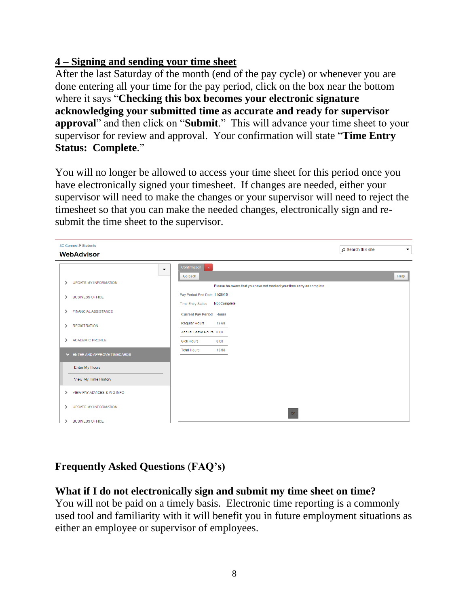## **4 – Signing and sending your time sheet**

After the last Saturday of the month (end of the pay cycle) or whenever you are done entering all your time for the pay period, click on the box near the bottom where it says "**Checking this box becomes your electronic signature acknowledging your submitted time as accurate and ready for supervisor approval**" and then click on "**Submit**." This will advance your time sheet to your supervisor for review and approval. Your confirmation will state "**Time Entry Status: Complete**."

You will no longer be allowed to access your time sheet for this period once you have electronically signed your timesheet. If changes are needed, either your supervisor will need to make the changes or your supervisor will need to reject the timesheet so that you can make the needed changes, electronically sign and resubmit the time sheet to the supervisor.



## **Frequently Asked Questions** (**FAQ's)**

#### **What if I do not electronically sign and submit my time sheet on time?**

You will not be paid on a timely basis. Electronic time reporting is a commonly used tool and familiarity with it will benefit you in future employment situations as either an employee or supervisor of employees.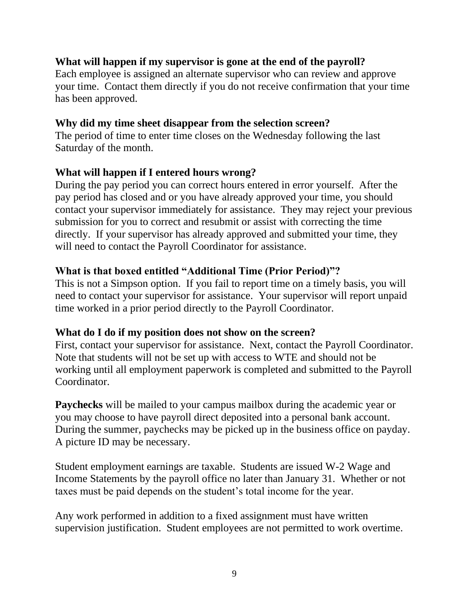#### **What will happen if my supervisor is gone at the end of the payroll?**

Each employee is assigned an alternate supervisor who can review and approve your time. Contact them directly if you do not receive confirmation that your time has been approved.

#### **Why did my time sheet disappear from the selection screen?**

The period of time to enter time closes on the Wednesday following the last Saturday of the month.

#### **What will happen if I entered hours wrong?**

During the pay period you can correct hours entered in error yourself. After the pay period has closed and or you have already approved your time, you should contact your supervisor immediately for assistance. They may reject your previous submission for you to correct and resubmit or assist with correcting the time directly. If your supervisor has already approved and submitted your time, they will need to contact the Payroll Coordinator for assistance.

#### **What is that boxed entitled "Additional Time (Prior Period)"?**

This is not a Simpson option. If you fail to report time on a timely basis, you will need to contact your supervisor for assistance. Your supervisor will report unpaid time worked in a prior period directly to the Payroll Coordinator.

#### **What do I do if my position does not show on the screen?**

First, contact your supervisor for assistance. Next, contact the Payroll Coordinator. Note that students will not be set up with access to WTE and should not be working until all employment paperwork is completed and submitted to the Payroll Coordinator.

**Paychecks** will be mailed to your campus mailbox during the academic year or you may choose to have payroll direct deposited into a personal bank account. During the summer, paychecks may be picked up in the business office on payday. A picture ID may be necessary.

Student employment earnings are taxable. Students are issued W-2 Wage and Income Statements by the payroll office no later than January 31. Whether or not taxes must be paid depends on the student's total income for the year.

Any work performed in addition to a fixed assignment must have written supervision justification. Student employees are not permitted to work overtime.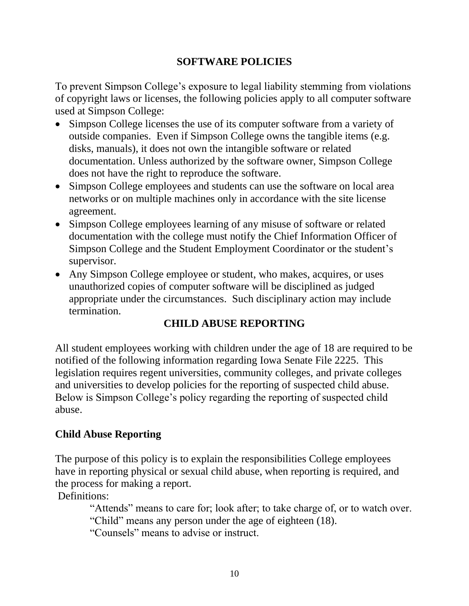#### **SOFTWARE POLICIES**

To prevent Simpson College's exposure to legal liability stemming from violations of copyright laws or licenses, the following policies apply to all computer software used at Simpson College:

- Simpson College licenses the use of its computer software from a variety of outside companies. Even if Simpson College owns the tangible items (e.g. disks, manuals), it does not own the intangible software or related documentation. Unless authorized by the software owner, Simpson College does not have the right to reproduce the software.
- Simpson College employees and students can use the software on local area networks or on multiple machines only in accordance with the site license agreement.
- Simpson College employees learning of any misuse of software or related documentation with the college must notify the Chief Information Officer of Simpson College and the Student Employment Coordinator or the student's supervisor.
- Any Simpson College employee or student, who makes, acquires, or uses unauthorized copies of computer software will be disciplined as judged appropriate under the circumstances. Such disciplinary action may include termination.

## **CHILD ABUSE REPORTING**

All student employees working with children under the age of 18 are required to be notified of the following information regarding Iowa Senate File 2225. This legislation requires regent universities, community colleges, and private colleges and universities to develop policies for the reporting of suspected child abuse. Below is Simpson College's policy regarding the reporting of suspected child abuse.

## **Child Abuse Reporting**

The purpose of this policy is to explain the responsibilities College employees have in reporting physical or sexual child abuse, when reporting is required, and the process for making a report.

Definitions:

 "Attends" means to care for; look after; to take charge of, or to watch over. "Child" means any person under the age of eighteen (18).

"Counsels" means to advise or instruct.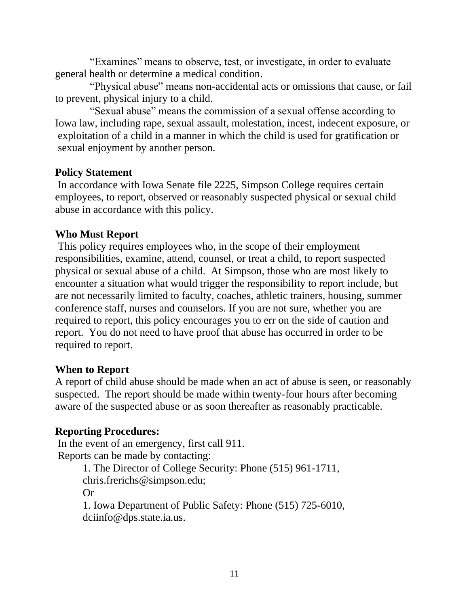"Examines" means to observe, test, or investigate, in order to evaluate general health or determine a medical condition.

 "Physical abuse" means non-accidental acts or omissions that cause, or fail to prevent, physical injury to a child.

 "Sexual abuse" means the commission of a sexual offense according to Iowa law, including rape, sexual assault, molestation, incest, indecent exposure, or exploitation of a child in a manner in which the child is used for gratification or sexual enjoyment by another person.

#### **Policy Statement**

In accordance with Iowa Senate file 2225, Simpson College requires certain employees, to report, observed or reasonably suspected physical or sexual child abuse in accordance with this policy.

#### **Who Must Report**

This policy requires employees who, in the scope of their employment responsibilities, examine, attend, counsel, or treat a child, to report suspected physical or sexual abuse of a child. At Simpson, those who are most likely to encounter a situation what would trigger the responsibility to report include, but are not necessarily limited to faculty, coaches, athletic trainers, housing, summer conference staff, nurses and counselors. If you are not sure, whether you are required to report, this policy encourages you to err on the side of caution and report. You do not need to have proof that abuse has occurred in order to be required to report.

#### **When to Report**

A report of child abuse should be made when an act of abuse is seen, or reasonably suspected. The report should be made within twenty-four hours after becoming aware of the suspected abuse or as soon thereafter as reasonably practicable.

#### **Reporting Procedures:**

In the event of an emergency, first call 911. Reports can be made by contacting: 1. The Director of College Security: Phone (515) 961-1711, chris.frerichs@simpson.edu; Or 1. Iowa Department of Public Safety: Phone (515) 725-6010, dciinfo@dps.state.ia.us.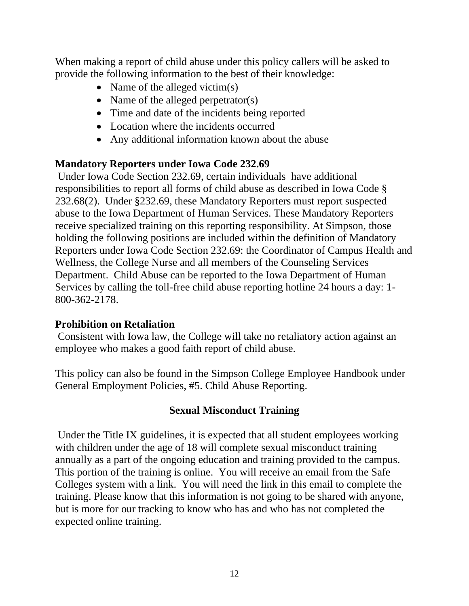When making a report of child abuse under this policy callers will be asked to provide the following information to the best of their knowledge:

- Name of the alleged victim(s)
- Name of the alleged perpetrator(s)
- Time and date of the incidents being reported
- Location where the incidents occurred
- Any additional information known about the abuse

#### **Mandatory Reporters under Iowa Code 232.69**

Under Iowa Code Section 232.69, certain individuals have additional responsibilities to report all forms of child abuse as described in Iowa Code § 232.68(2). Under §232.69, these Mandatory Reporters must report suspected abuse to the Iowa Department of Human Services. These Mandatory Reporters receive specialized training on this reporting responsibility. At Simpson, those holding the following positions are included within the definition of Mandatory Reporters under Iowa Code Section 232.69: the Coordinator of Campus Health and Wellness, the College Nurse and all members of the Counseling Services Department. Child Abuse can be reported to the Iowa Department of Human Services by calling the toll-free child abuse reporting hotline 24 hours a day: 1- 800-362-2178.

#### **Prohibition on Retaliation**

Consistent with Iowa law, the College will take no retaliatory action against an employee who makes a good faith report of child abuse.

This policy can also be found in the Simpson College Employee Handbook under General Employment Policies, #5. Child Abuse Reporting.

#### **Sexual Misconduct Training**

Under the Title IX guidelines, it is expected that all student employees working with children under the age of 18 will complete sexual misconduct training annually as a part of the ongoing education and training provided to the campus. This portion of the training is online. You will receive an email from the Safe Colleges system with a link. You will need the link in this email to complete the training. Please know that this information is not going to be shared with anyone, but is more for our tracking to know who has and who has not completed the expected online training.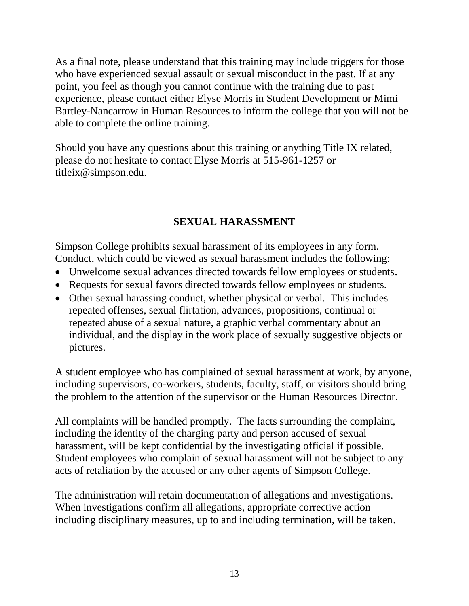As a final note, please understand that this training may include triggers for those who have experienced sexual assault or sexual misconduct in the past. If at any point, you feel as though you cannot continue with the training due to past experience, please contact either Elyse Morris in Student Development or Mimi Bartley-Nancarrow in Human Resources to inform the college that you will not be able to complete the online training.

Should you have any questions about this training or anything Title IX related, please do not hesitate to contact Elyse Morris at 515-961-1257 or titleix@simpson.edu.

## **SEXUAL HARASSMENT**

Simpson College prohibits sexual harassment of its employees in any form. Conduct, which could be viewed as sexual harassment includes the following:

- Unwelcome sexual advances directed towards fellow employees or students.
- Requests for sexual favors directed towards fellow employees or students.
- Other sexual harassing conduct, whether physical or verbal. This includes repeated offenses, sexual flirtation, advances, propositions, continual or repeated abuse of a sexual nature, a graphic verbal commentary about an individual, and the display in the work place of sexually suggestive objects or pictures.

A student employee who has complained of sexual harassment at work, by anyone, including supervisors, co-workers, students, faculty, staff, or visitors should bring the problem to the attention of the supervisor or the Human Resources Director.

All complaints will be handled promptly. The facts surrounding the complaint, including the identity of the charging party and person accused of sexual harassment, will be kept confidential by the investigating official if possible. Student employees who complain of sexual harassment will not be subject to any acts of retaliation by the accused or any other agents of Simpson College.

The administration will retain documentation of allegations and investigations. When investigations confirm all allegations, appropriate corrective action including disciplinary measures, up to and including termination, will be taken.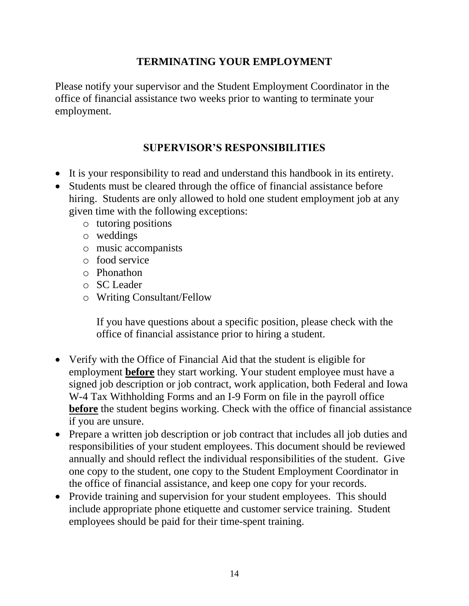### **TERMINATING YOUR EMPLOYMENT**

Please notify your supervisor and the Student Employment Coordinator in the office of financial assistance two weeks prior to wanting to terminate your employment.

### **SUPERVISOR'S RESPONSIBILITIES**

- It is your responsibility to read and understand this handbook in its entirety.
- Students must be cleared through the office of financial assistance before hiring. Students are only allowed to hold one student employment job at any given time with the following exceptions:
	- o tutoring positions
	- o weddings
	- o music accompanists
	- o food service
	- o Phonathon
	- o SC Leader
	- o Writing Consultant/Fellow

If you have questions about a specific position, please check with the office of financial assistance prior to hiring a student.

- Verify with the Office of Financial Aid that the student is eligible for employment **before** they start working. Your student employee must have a signed job description or job contract, work application, both Federal and Iowa W-4 Tax Withholding Forms and an I-9 Form on file in the payroll office **before** the student begins working. Check with the office of financial assistance if you are unsure.
- Prepare a written job description or job contract that includes all job duties and responsibilities of your student employees. This document should be reviewed annually and should reflect the individual responsibilities of the student. Give one copy to the student, one copy to the Student Employment Coordinator in the office of financial assistance, and keep one copy for your records.
- Provide training and supervision for your student employees. This should include appropriate phone etiquette and customer service training. Student employees should be paid for their time-spent training.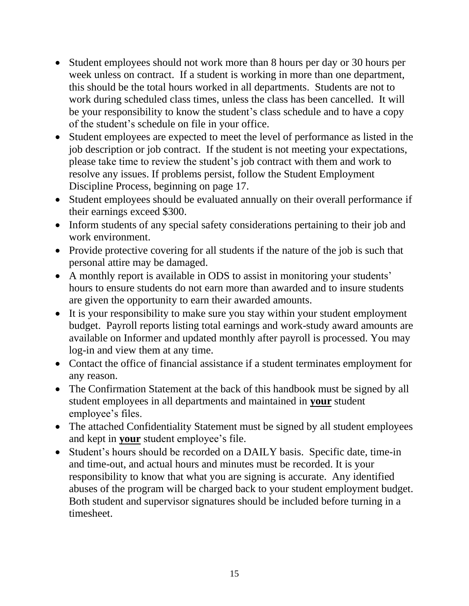- Student employees should not work more than 8 hours per day or 30 hours per week unless on contract. If a student is working in more than one department, this should be the total hours worked in all departments. Students are not to work during scheduled class times, unless the class has been cancelled. It will be your responsibility to know the student's class schedule and to have a copy of the student's schedule on file in your office.
- Student employees are expected to meet the level of performance as listed in the job description or job contract. If the student is not meeting your expectations, please take time to review the student's job contract with them and work to resolve any issues. If problems persist, follow the Student Employment Discipline Process, beginning on page 17.
- Student employees should be evaluated annually on their overall performance if their earnings exceed \$300.
- Inform students of any special safety considerations pertaining to their job and work environment.
- Provide protective covering for all students if the nature of the job is such that personal attire may be damaged.
- A monthly report is available in ODS to assist in monitoring your students' hours to ensure students do not earn more than awarded and to insure students are given the opportunity to earn their awarded amounts.
- It is your responsibility to make sure you stay within your student employment budget. Payroll reports listing total earnings and work-study award amounts are available on Informer and updated monthly after payroll is processed. You may log-in and view them at any time.
- Contact the office of financial assistance if a student terminates employment for any reason.
- The Confirmation Statement at the back of this handbook must be signed by all student employees in all departments and maintained in **your** student employee's files.
- The attached Confidentiality Statement must be signed by all student employees and kept in **your** student employee's file.
- Student's hours should be recorded on a DAILY basis. Specific date, time-in and time-out, and actual hours and minutes must be recorded. It is your responsibility to know that what you are signing is accurate. Any identified abuses of the program will be charged back to your student employment budget. Both student and supervisor signatures should be included before turning in a timesheet.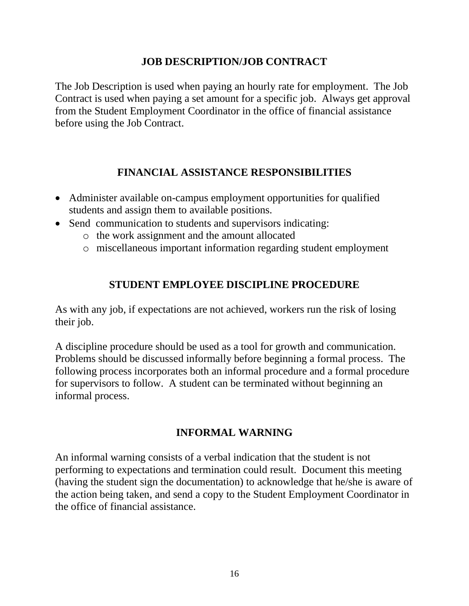#### **JOB DESCRIPTION/JOB CONTRACT**

The Job Description is used when paying an hourly rate for employment. The Job Contract is used when paying a set amount for a specific job. Always get approval from the Student Employment Coordinator in the office of financial assistance before using the Job Contract.

#### **FINANCIAL ASSISTANCE RESPONSIBILITIES**

- Administer available on-campus employment opportunities for qualified students and assign them to available positions.
- Send communication to students and supervisors indicating:
	- o the work assignment and the amount allocated
	- o miscellaneous important information regarding student employment

#### **STUDENT EMPLOYEE DISCIPLINE PROCEDURE**

As with any job, if expectations are not achieved, workers run the risk of losing their job.

A discipline procedure should be used as a tool for growth and communication. Problems should be discussed informally before beginning a formal process. The following process incorporates both an informal procedure and a formal procedure for supervisors to follow. A student can be terminated without beginning an informal process.

#### **INFORMAL WARNING**

An informal warning consists of a verbal indication that the student is not performing to expectations and termination could result. Document this meeting (having the student sign the documentation) to acknowledge that he/she is aware of the action being taken, and send a copy to the Student Employment Coordinator in the office of financial assistance.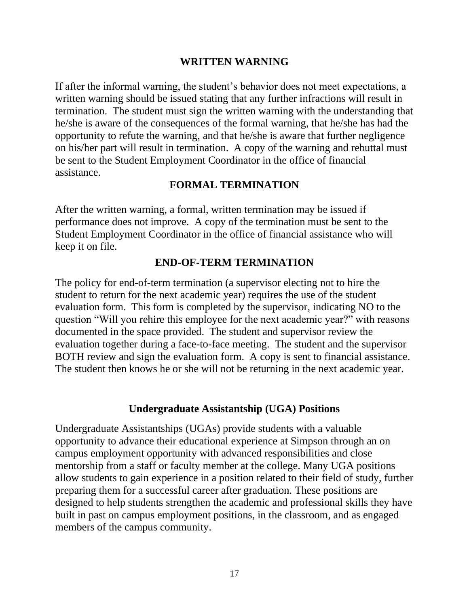#### **WRITTEN WARNING**

If after the informal warning, the student's behavior does not meet expectations, a written warning should be issued stating that any further infractions will result in termination. The student must sign the written warning with the understanding that he/she is aware of the consequences of the formal warning, that he/she has had the opportunity to refute the warning, and that he/she is aware that further negligence on his/her part will result in termination. A copy of the warning and rebuttal must be sent to the Student Employment Coordinator in the office of financial assistance.

#### **FORMAL TERMINATION**

After the written warning, a formal, written termination may be issued if performance does not improve. A copy of the termination must be sent to the Student Employment Coordinator in the office of financial assistance who will keep it on file.

#### **END-OF-TERM TERMINATION**

The policy for end-of-term termination (a supervisor electing not to hire the student to return for the next academic year) requires the use of the student evaluation form. This form is completed by the supervisor, indicating NO to the question "Will you rehire this employee for the next academic year?" with reasons documented in the space provided. The student and supervisor review the evaluation together during a face-to-face meeting. The student and the supervisor BOTH review and sign the evaluation form. A copy is sent to financial assistance. The student then knows he or she will not be returning in the next academic year.

#### **Undergraduate Assistantship (UGA) Positions**

Undergraduate Assistantships (UGAs) provide students with a valuable opportunity to advance their educational experience at Simpson through an on campus employment opportunity with advanced responsibilities and close mentorship from a staff or faculty member at the college. Many UGA positions allow students to gain experience in a position related to their field of study, further preparing them for a successful career after graduation. These positions are designed to help students strengthen the academic and professional skills they have built in past on campus employment positions, in the classroom, and as engaged members of the campus community.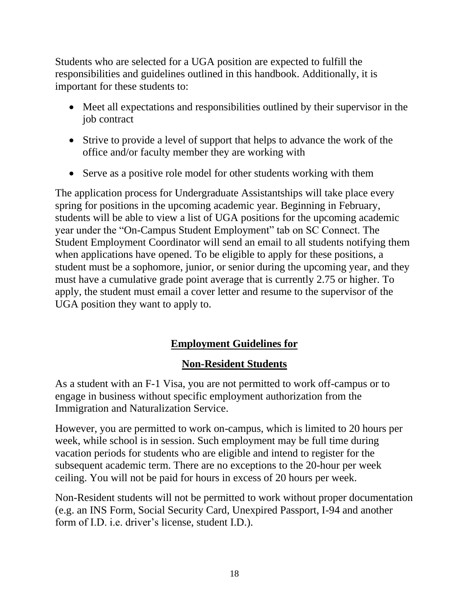Students who are selected for a UGA position are expected to fulfill the responsibilities and guidelines outlined in this handbook. Additionally, it is important for these students to:

- Meet all expectations and responsibilities outlined by their supervisor in the job contract
- Strive to provide a level of support that helps to advance the work of the office and/or faculty member they are working with
- Serve as a positive role model for other students working with them

The application process for Undergraduate Assistantships will take place every spring for positions in the upcoming academic year. Beginning in February, students will be able to view a list of UGA positions for the upcoming academic year under the "On-Campus Student Employment" tab on SC Connect. The Student Employment Coordinator will send an email to all students notifying them when applications have opened. To be eligible to apply for these positions, a student must be a sophomore, junior, or senior during the upcoming year, and they must have a cumulative grade point average that is currently 2.75 or higher. To apply, the student must email a cover letter and resume to the supervisor of the UGA position they want to apply to.

## **Employment Guidelines for**

## **Non-Resident Students**

As a student with an F-1 Visa, you are not permitted to work off-campus or to engage in business without specific employment authorization from the Immigration and Naturalization Service.

However, you are permitted to work on-campus, which is limited to 20 hours per week, while school is in session. Such employment may be full time during vacation periods for students who are eligible and intend to register for the subsequent academic term. There are no exceptions to the 20-hour per week ceiling. You will not be paid for hours in excess of 20 hours per week.

Non-Resident students will not be permitted to work without proper documentation (e.g. an INS Form, Social Security Card, Unexpired Passport, I-94 and another form of I.D. i.e. driver's license, student I.D.).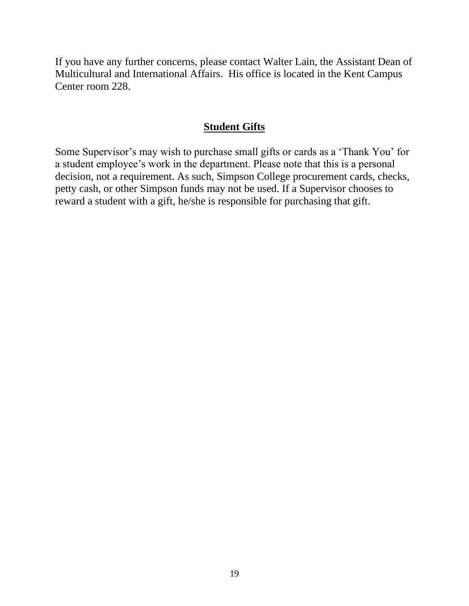If you have any further concerns, please contact Walter Lain, the Assistant Dean of Multicultural and International Affairs. His office is located in the Kent Campus Center room 228.

#### **Student Gifts**

Some Supervisor's may wish to purchase small gifts or cards as a 'Thank You' for a student employee's work in the department. Please note that this is a personal decision, not a requirement. As such, Simpson College procurement cards, checks, petty cash, or other Simpson funds may not be used. If a Supervisor chooses to reward a student with a gift, he/she is responsible for purchasing that gift.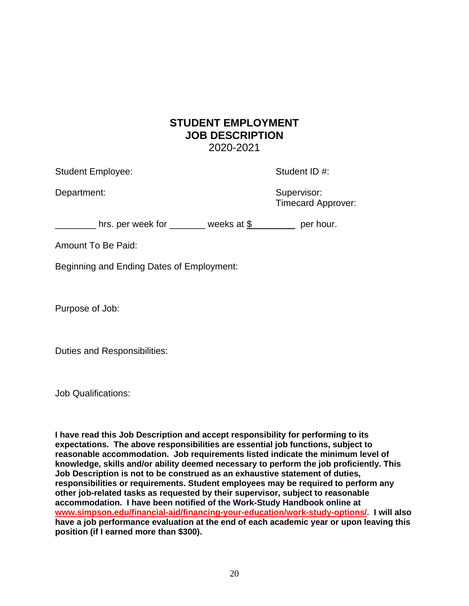#### **STUDENT EMPLOYMENT JOB DESCRIPTION** 2020-2021

Student Employee: Student ID #:

Department: Supervisor: Supervisor: Supervisor: Supervisor: Supervisor: Supervisor: Supervisor: Supervisor: Supervisor: Supervisor: Supervisor: Supervisor: Supervisor: Supervisor: Supervisor: Supervisor: Supervisor: Superv

Timecard Approver:

Letter Letter and State Letter Letter Letter Letter Letter Letter Letter Letter Letter Letter Letter Letter Le

Amount To Be Paid:

Beginning and Ending Dates of Employment:

Purpose of Job:

Duties and Responsibilities:

Job Qualifications:

**I have read this Job Description and accept responsibility for performing to its expectations. The above responsibilities are essential job functions, subject to reasonable accommodation. Job requirements listed indicate the minimum level of knowledge, skills and/or ability deemed necessary to perform the job proficiently. This Job Description is not to be construed as an exhaustive statement of duties, responsibilities or requirements. Student employees may be required to perform any other job-related tasks as requested by their supervisor, subject to reasonable accommodation. I have been notified of the Work-Study Handbook online at [www.simpson.edu/financial-aid/financing-your-education/work-study-options/.](http://www.simpson.edu/financial-aid/financing-your-education/work-study-options/) I will also have a job performance evaluation at the end of each academic year or upon leaving this position (if I earned more than \$300).**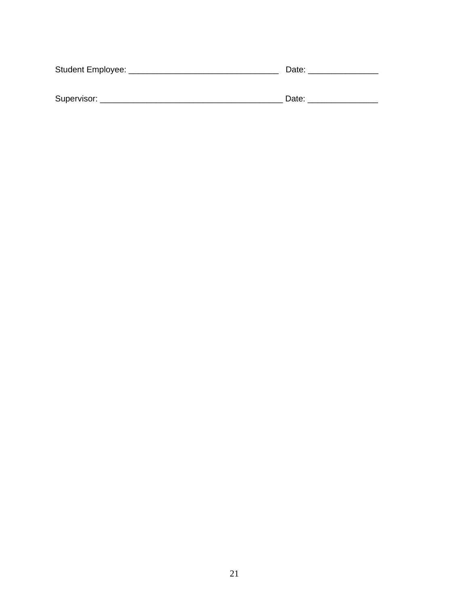| Student Employee: | Date: |  |  |  |  |
|-------------------|-------|--|--|--|--|
|                   |       |  |  |  |  |
|                   |       |  |  |  |  |
| Supervisor:       | Date: |  |  |  |  |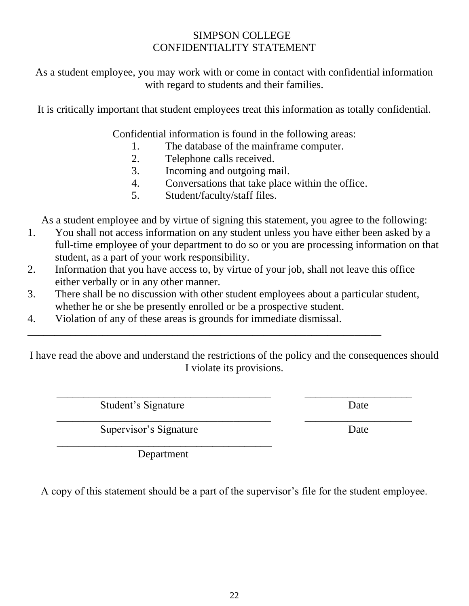#### SIMPSON COLLEGE CONFIDENTIALITY STATEMENT

As a student employee, you may work with or come in contact with confidential information with regard to students and their families.

It is critically important that student employees treat this information as totally confidential.

Confidential information is found in the following areas:

- 1. The database of the mainframe computer.
- 2. Telephone calls received.
- 3. Incoming and outgoing mail.
- 4. Conversations that take place within the office.
- 5. Student/faculty/staff files.

As a student employee and by virtue of signing this statement, you agree to the following:

- 1. You shall not access information on any student unless you have either been asked by a full-time employee of your department to do so or you are processing information on that student, as a part of your work responsibility.
- 2. Information that you have access to, by virtue of your job, shall not leave this office either verbally or in any other manner.
- 3. There shall be no discussion with other student employees about a particular student, whether he or she be presently enrolled or be a prospective student.
- 4. Violation of any of these areas is grounds for immediate dismissal.

 $\overline{a_1}$  ,  $\overline{a_2}$  ,  $\overline{a_3}$  ,  $\overline{a_4}$  ,  $\overline{a_5}$  ,  $\overline{a_6}$  ,  $\overline{a_7}$  ,  $\overline{a_8}$  ,  $\overline{a_9}$  ,  $\overline{a_9}$  ,  $\overline{a_9}$  ,  $\overline{a_9}$  ,  $\overline{a_9}$  ,  $\overline{a_9}$  ,  $\overline{a_9}$  ,  $\overline{a_9}$  ,  $\overline{a_9}$  ,

I have read the above and understand the restrictions of the policy and the consequences should I violate its provisions.

 $\overline{\phantom{a}}$  , and the contribution of the contribution of the contribution of  $\overline{\phantom{a}}$  , and  $\overline{\phantom{a}}$  , and  $\overline{\phantom{a}}$  , and  $\overline{\phantom{a}}$  , and  $\overline{\phantom{a}}$  , and  $\overline{\phantom{a}}$  , and  $\overline{\phantom{a}}$  , and  $\overline{\phantom{a}}$  , and

Student's Signature Date

\_\_\_\_\_\_\_\_\_\_\_\_\_\_\_\_\_\_\_\_\_\_\_\_\_\_\_\_\_\_\_\_\_\_\_\_\_\_\_\_ \_\_\_\_\_\_\_\_\_\_\_\_\_\_\_\_\_\_\_\_ Supervisor's Signature Date  $\overline{\phantom{a}}$  , and the contract of the contract of the contract of the contract of the contract of the contract of the contract of the contract of the contract of the contract of the contract of the contract of the contrac

Department

A copy of this statement should be a part of the supervisor's file for the student employee.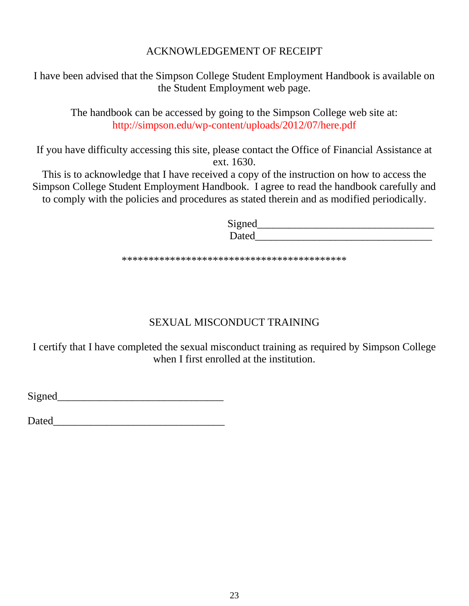#### ACKNOWLEDGEMENT OF RECEIPT

I have been advised that the Simpson College Student Employment Handbook is available on the Student Employment web page.

The handbook can be accessed by going to the Simpson College web site at: http://simpson.edu/wp-content/uploads/2012/07/here.pdf

If you have difficulty accessing this site, please contact the Office of Financial Assistance at ext. 1630.

This is to acknowledge that I have received a copy of the instruction on how to access the Simpson College Student Employment Handbook. I agree to read the handbook carefully and to comply with the policies and procedures as stated therein and as modified periodically.

> Signed\_\_\_\_\_\_\_\_\_\_\_\_\_\_\_\_\_\_\_\_\_\_\_\_\_\_\_\_\_\_\_\_\_ Dated\_\_\_\_\_\_\_\_\_\_\_\_\_\_\_\_\_\_\_\_\_\_\_\_\_\_\_\_\_\_\_\_\_

\*\*\*\*\*\*\*\*\*\*\*\*\*\*\*\*\*\*\*\*\*\*\*\*\*\*\*\*\*\*\*\*\*\*\*\*\*\*\*\*\*\*

## SEXUAL MISCONDUCT TRAINING

I certify that I have completed the sexual misconduct training as required by Simpson College when I first enrolled at the institution.

Signed\_\_\_\_\_\_\_\_\_\_\_\_\_\_\_\_\_\_\_\_\_\_\_\_\_\_\_\_\_\_\_

Dated\_\_\_\_\_\_\_\_\_\_\_\_\_\_\_\_\_\_\_\_\_\_\_\_\_\_\_\_\_\_\_\_